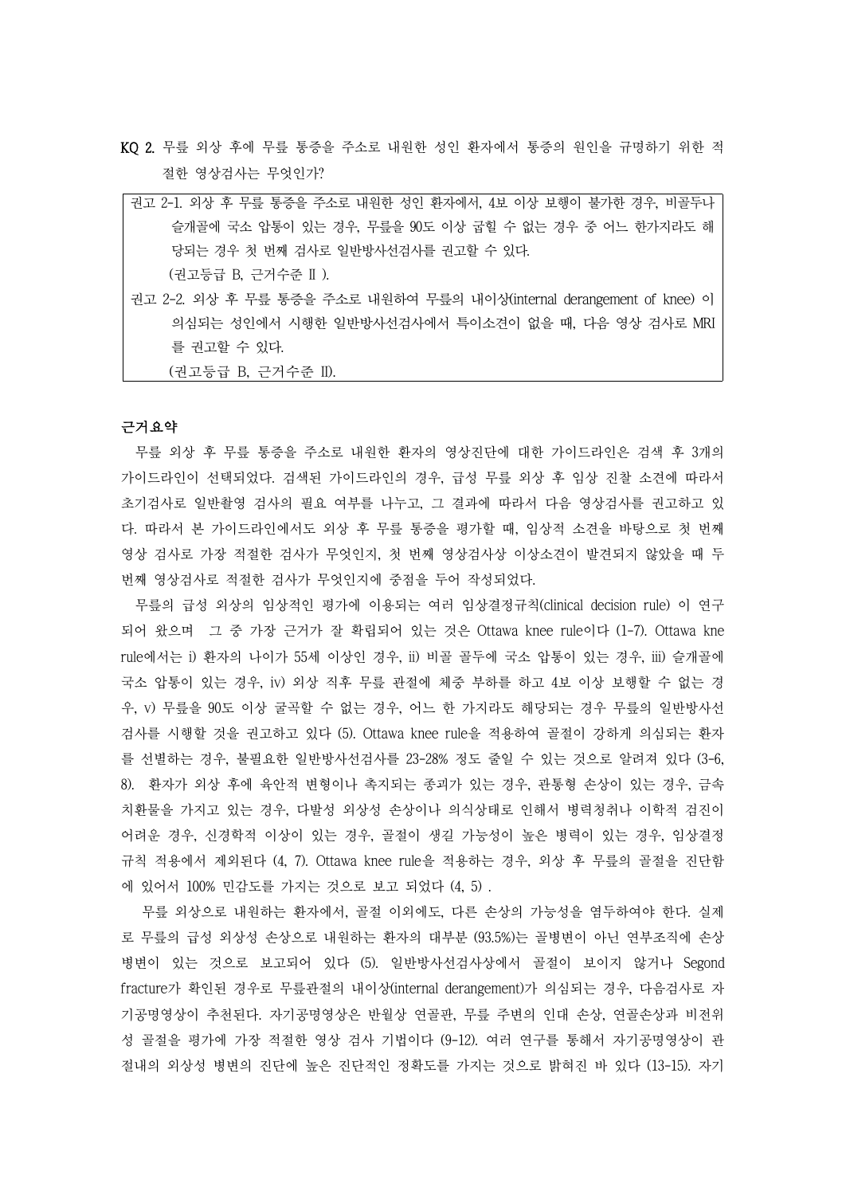- KQ 2. 무릎 외상 후에 무릎 통증을 주소로 내원한 성인 환자에서 통증의 원인을 규명하기 위한 적 절한 영상검사는 무엇인가?
- 권고 2-1. 외상 후 무릎 통증을 주소로 내원한 성인 환자에서, 4보 이상 보행이 불가한 경우, 비골두나 슬개골에 국소 압통이 있는 경우, 무릎을 90도 이상 굽힐 수 없는 경우 중 어느 한가지라도 해 당되는 경우 첫 번째 검사로 일반방사선검사를 권고할 수 있다. (권고등급 B, 근거수준 II ).
- 권고 2-2. 외상 후 무릎 통증을 주소로 내원하여 무릎의 내이상(internal derangement of knee) 이 의심되는 성인에서 시행한 일반방사선검사에서 특이소견이 없을 때, 다음 영상 검사로 MRI 를 권고할 수 있다.

(권고등급 B, 근거수준 II).

# 근거요약

무릎 외상 후 무릎 통증을 주소로 내원한 환자의 영상진단에 대한 가이드라인은 검색 후 3개의 가이드라인이 선택되었다. 검색된 가이드라인의 경우, 급성 무릎 외상 후 임상 진찰 소견에 따라서 초기검사로 일반촬영 검사의 필요 여부를 나누고, 그 결과에 따라서 다음 영상검사를 권고하고 있 다. 따라서 본 가이드라인에서도 외상 후 무릎 통증을 평가할 때, 임상적 소견을 바탕으로 첫 번째 영상 검사로 가장 적절한 검사가 무엇인지, 첫 번째 영상검사상 이상소견이 발견되지 않았을 때 두 번째 영상검사로 적절한 검사가 무엇인지에 중점을 두어 작성되었다.<br>-<br>무릎의 급성 외상의 임상적인 평가에 이용되는 여러 임상결정규칙(clinical decision rule) 이 연구

되어 왔으며 그 중 가장 근거가 잘 확립되어 있는 것은 Ottawa knee rule이다 (1-7). Ottawa kne rule에서는 i) 환자의 나이가 55세 이상인 경우, ii) 비골 골두에 국소 압통이 있는 경우, iii) 슬개골에 국소 압통이 있는 경우, iv) 외상 직후 무릎 관절에 체중 부하를 하고 4보 이상 보행할 수 없는 경 우, v) 무릎을 90도 이상 굴곡할 수 없는 경우, 어느 한 가지라도 해당되는 경우 무릎의 일반방사선 검사를 시행할 것을 권고하고 있다 (5). Ottawa knee rule을 적용하여 골절이 강하게 의심되는 환자 를 선별하는 경우, 불필요한 일반방사선검사를 23-28% 정도 줄일 수 있는 것으로 알려져 있다 (3-6, 8). 환자가 외상 후에 육안적 변형이나 촉지되는 종괴가 있는 경우, 관통형 손상이 있는 경우, 금속 치환물을 가지고 있는 경우, 다발성 외상성 손상이나 의식상태로 인해서 병력청취나 이학적 검진이 어려운 경우, 신경학적 이상이 있는 경우, 골절이 생길 가능성이 높은 병력이 있는 경우, 임상결정 규칙 적용에서 제외된다 (4, 7). Ottawa knee rule을 적용하는 경우, 외상 후 무릎의 골절을 진단함 에 있어서 100% 민감도를 가지는 것으로 보고 되었다 (4, 5) .

무릎 외상으로 내원하는 환자에서, 골절 이외에도, 다른 손상의 가능성을 염두하여야 한다. 실제 로 무릎의 급성 외상성 손상으로 내원하는 환자의 대부분 (93.5%)는 골병변이 아닌 연부조직에 손상 병변이 있는 것으로 보고되어 있다 (5). 일반방사선검사상에서 골절이 보이지 않거나 Segond fracture가 확인된 경우로 무릎관절의 내이상(internal derangement)가 의심되는 경우, 다음검사로 자 기공명영상이 추천된다. 자기공명영상은 반월상 연골판, 무릎 주변의 인대 손상, 연골손상과 비전위 성 골절을 평가에 가장 적절한 영상 검사 기법이다 (9-12). 여러 연구를 통해서 자기공명영상이 관 절내의 외상성 병변의 진단에 높은 진단적인 정확도를 가지는 것으로 밝혀진 바 있다 (13-15). 자기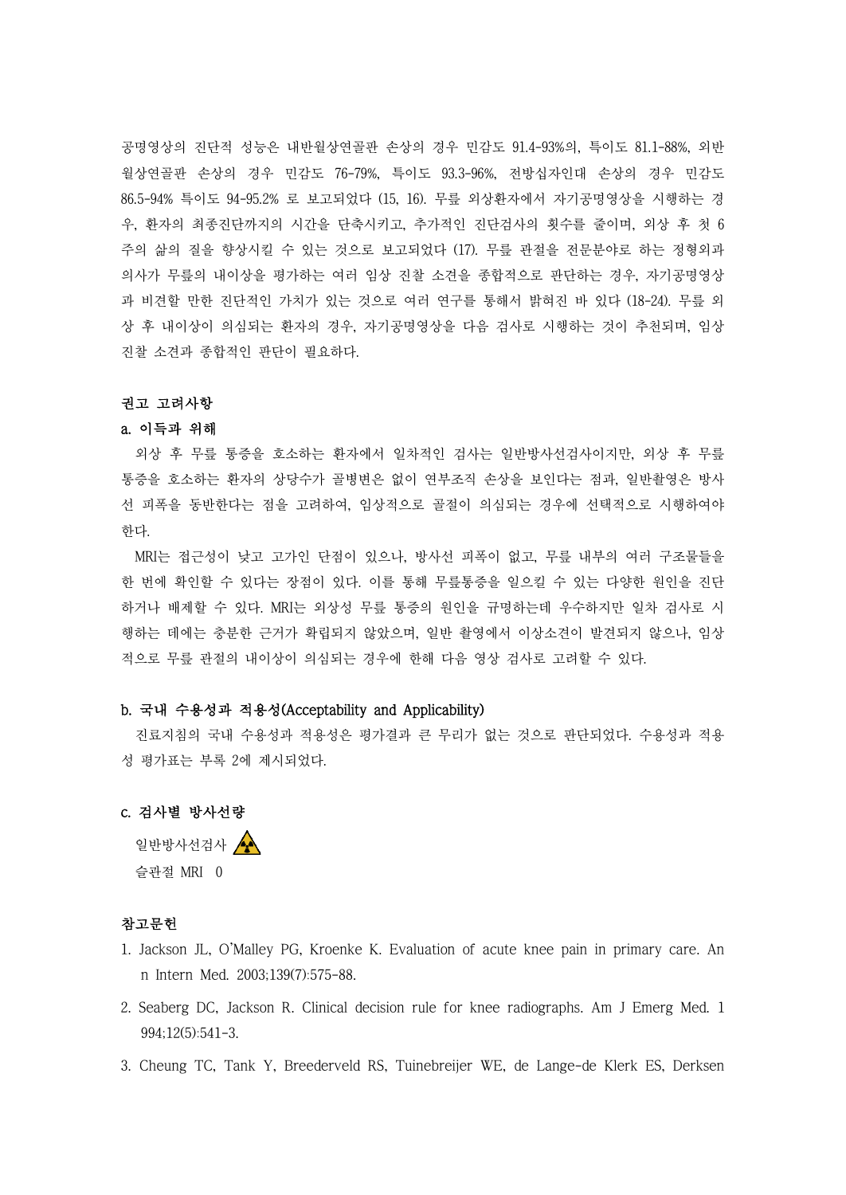공명영상의 진단적 성능은 내반월상연골판 손상의 경우 민감도 91.4-93%의, 특이도 81.1-88%, 외반 월상연골판 손상의 경우 민감도 76-79%, 특이도 93.3-96%, 전방십자인대 손상의 경우 민감도 86.5-94% 특이도 94-95.2% 로 보고되었다 (15, 16). 무릎 외상환자에서 자기공명영상을 시행하는 경 우, 환자의 최종진단까지의 시간을 단축시키고, 추가적인 진단검사의 횟수를 줄이며, 외상 후 첫 6 주의 삶의 질을 향상시킬 수 있는 것으로 보고되었다 (17). 무릎 관절을 전문분야로 하는 정형외과 의사가 무릎의 내이상을 평가하는 여러 임상 진찰 소견을 종합적으로 판단하는 경우, 자기공명영상 과 비견할 만한 진단적인 가치가 있는 것으로 여러 연구를 통해서 밝혀진 바 있다 (18-24). 무릎 외 상 후 내이상이 의심되는 환자의 경우, 자기공명영상을 다음 검사로 시행하는 것이 추천되며, 임상 진찰 소견과 종합적인 판단이 필요하다.<br><br>**권고 고려사항** 

### a. 이득과 위해

외상 후 무릎 통증을 호소하는 환자에서 일차적인 검사는 일반방사선검사이지만, 외상 후 무릎 통증을 호소하는 환자의 상당수가 골병변은 없이 연부조직 손상을 보인다는 점과, 일반촬영은 방사 선 피폭을 동반한다는 점을 고려하여, 임상적으로 골절이 의심되는 경우에 선택적으로 시행하여야 한다.<br>-<br>MRI는 접근성이 낮고 고가인 단점이 있으나, 방사선 피폭이 없고, 무릎 내부의 여러 구조물들을

한 번에 확인할 수 있다는 장점이 있다. 이를 통해 무릎통증을 일으킬 수 있는 다양한 원인을 진단 하거나 배제할 수 있다. MRI는 외상성 무릎 통증의 원인을 규명하는데 우수하지만 일차 검사로 시 행하는 데에는 충분한 근거가 확립되지 않았으며, 일반 촬영에서 이상소견이 발견되지 않으나, 임상 적으로 무릎 관절의 내이상이 의심되는 경우에 한해 다음 영상 검사로 고려할 수 있다.

## b. 국내 수용성과 적용성(Acceptability and Applicability)

진료지침의 국내 수용성과 적용성은 평가결과 큰 무리가 없는 것으로 판단되었다. 수용성과 적용 성 평가표는 부록 2에 제시되었다.

# c. 검사별 방사선량

일반방사선검사 4 슬관절 MRI 0

## 참고문헌

- 1. Jackson JL, O'Malley PG, Kroenke K. Evaluation of acute knee pain in primary care. An n Intern Med. 2003;139(7):575-88.
- 2. Seaberg DC, Jackson R. Clinical decision rule for knee radiographs. Am J Emerg Med. 1 994;12(5):541-3.
- 3. Cheung TC, Tank Y, Breederveld RS, Tuinebreijer WE, de Lange-de Klerk ES, Derksen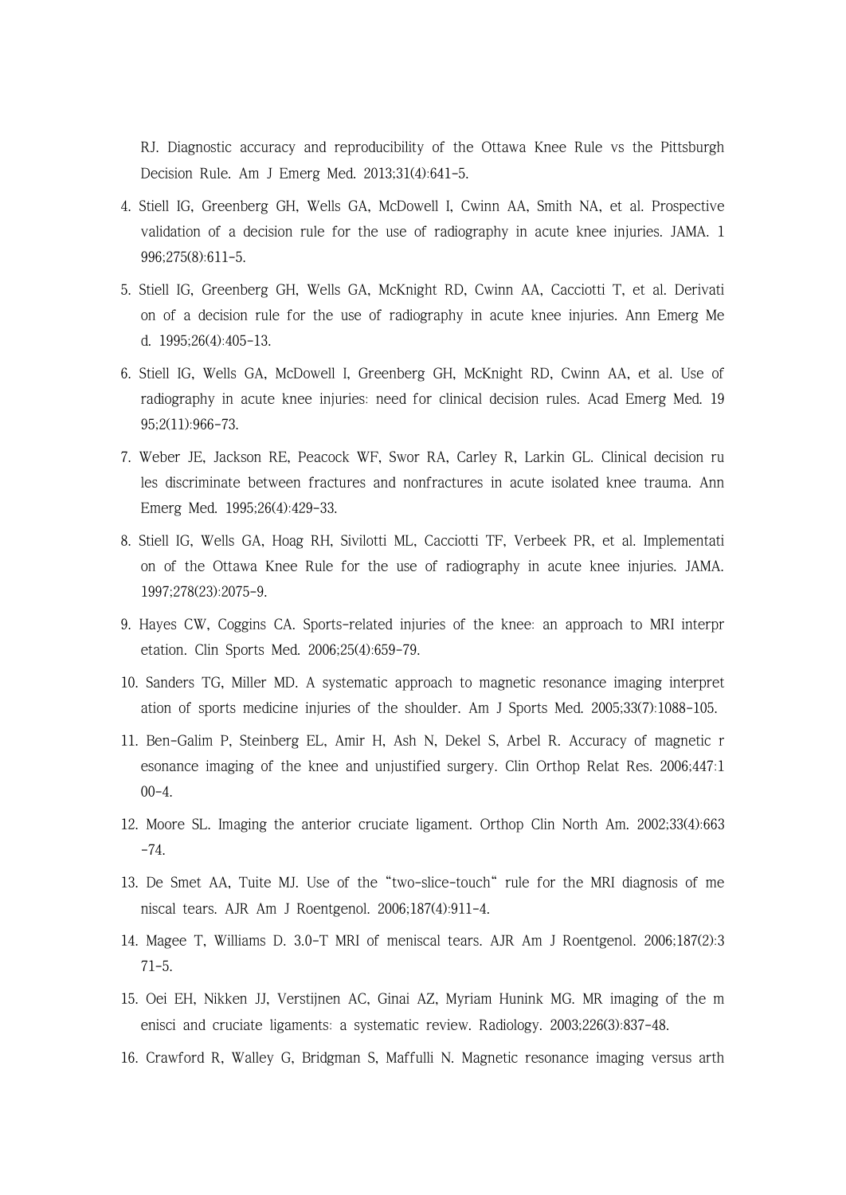RJ. Diagnostic accuracy and reproducibility of the Ottawa Knee Rule vs the Pittsburgh Decision Rule. Am J Emerg Med. 2013;31(4):641-5.

- 4. Stiell IG, Greenberg GH, Wells GA, McDowell I, Cwinn AA, Smith NA, et al. Prospective validation of a decision rule for the use of radiography in acute knee injuries. JAMA. 1 996;275(8):611-5.
- 5. Stiell IG, Greenberg GH, Wells GA, McKnight RD, Cwinn AA, Cacciotti T, et al. Derivati on of a decision rule for the use of radiography in acute knee injuries. Ann Emerg Me d. 1995;26(4):405-13.
- 6. Stiell IG, Wells GA, McDowell I, Greenberg GH, McKnight RD, Cwinn AA, et al. Use of radiography in acute knee injuries: need for clinical decision rules. Acad Emerg Med. 19 95;2(11):966-73.
- 7. Weber JE, Jackson RE, Peacock WF, Swor RA, Carley R, Larkin GL. Clinical decision ru les discriminate between fractures and nonfractures in acute isolated knee trauma. Ann Emerg Med. 1995;26(4):429-33.
- 8. Stiell IG, Wells GA, Hoag RH, Sivilotti ML, Cacciotti TF, Verbeek PR, et al. Implementati on of the Ottawa Knee Rule for the use of radiography in acute knee injuries. JAMA. 1997;278(23):2075-9.
- 9. Hayes CW, Coggins CA. Sports-related injuries of the knee: an approach to MRI interpr etation. Clin Sports Med. 2006;25(4):659-79.
- 10. Sanders TG, Miller MD. A systematic approach to magnetic resonance imaging interpret ation of sports medicine injuries of the shoulder. Am J Sports Med. 2005;33(7):1088-105.
- 11. Ben-Galim P, Steinberg EL, Amir H, Ash N, Dekel S, Arbel R. Accuracy of magnetic r esonance imaging of the knee and unjustified surgery. Clin Orthop Relat Res. 2006;447:1  $00-4.$
- 12. Moore SL. Imaging the anterior cruciate ligament. Orthop Clin North Am. 2002;33(4):663 -74.
- 13. De Smet AA, Tuite MJ. Use of the "two-slice-touch" rule for the MRI diagnosis of me niscal tears. AJR Am J Roentgenol. 2006;187(4):911-4.
- 14. Magee T, Williams D. 3.0-T MRI of meniscal tears. AJR Am J Roentgenol. 2006;187(2):3 71-5.
- 15. Oei EH, Nikken JJ, Verstijnen AC, Ginai AZ, Myriam Hunink MG. MR imaging of the m enisci and cruciate ligaments: a systematic review. Radiology. 2003;226(3):837-48.
- 16. Crawford R, Walley G, Bridgman S, Maffulli N. Magnetic resonance imaging versus arth